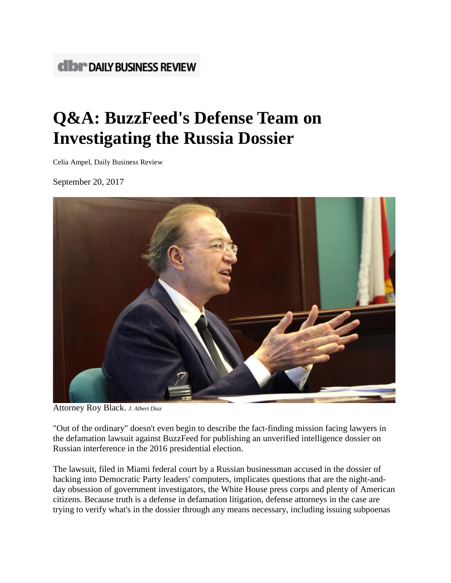# **CIDI<sup>\*</sup> DAILY BUSINESS REVIEW**

# **Q&A: BuzzFeed's Defense Team on Investigating the Russia Dossier**

Celia Ampel, Daily Business Review

September 20, 2017



Attorney Roy Black. *J. Albert Diaz*

"Out of the ordinary" doesn't even begin to describe the fact-finding mission facing lawyers in the defamation lawsuit against BuzzFeed for publishing an unverified intelligence dossier on Russian interference in the 2016 presidential election.

The lawsuit, filed in Miami federal court by a Russian businessman accused in the dossier of hacking into Democratic Party leaders' computers, implicates questions that are the night-andday obsession of government investigators, the White House press corps and plenty of American citizens. Because truth is a defense in defamation litigation, defense attorneys in the case are trying to verify what's in the dossier through any means necessary, including issuing subpoenas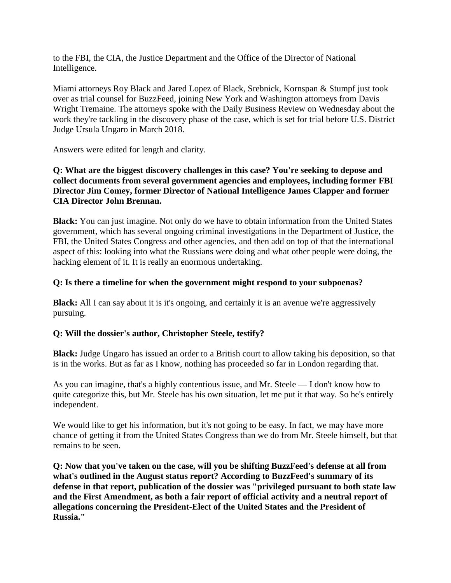to the FBI, the CIA, the Justice Department and the Office of the Director of National Intelligence.

Miami attorneys Roy Black and Jared Lopez of Black, Srebnick, Kornspan & Stumpf just took over as trial counsel for BuzzFeed, joining New York and Washington attorneys from Davis Wright Tremaine. The attorneys spoke with the Daily Business Review on Wednesday about the work they're tackling in the discovery phase of the case, which is set for trial before U.S. District Judge Ursula Ungaro in March 2018.

Answers were edited for length and clarity.

## **Q: What are the biggest discovery challenges in this case? You're seeking to depose and collect documents from several government agencies and employees, including former FBI Director Jim Comey, former Director of National Intelligence James Clapper and former CIA Director John Brennan.**

**Black:** You can just imagine. Not only do we have to obtain information from the United States government, which has several ongoing criminal investigations in the Department of Justice, the FBI, the United States Congress and other agencies, and then add on top of that the international aspect of this: looking into what the Russians were doing and what other people were doing, the hacking element of it. It is really an enormous undertaking.

## **Q: Is there a timeline for when the government might respond to your subpoenas?**

**Black:** All I can say about it is it's ongoing, and certainly it is an avenue we're aggressively pursuing.

## **Q: Will the dossier's author, Christopher Steele, testify?**

**Black:** Judge Ungaro has issued an order to a British court to allow taking his deposition, so that is in the works. But as far as I know, nothing has proceeded so far in London regarding that.

As you can imagine, that's a highly contentious issue, and Mr. Steele — I don't know how to quite categorize this, but Mr. Steele has his own situation, let me put it that way. So he's entirely independent.

We would like to get his information, but it's not going to be easy. In fact, we may have more chance of getting it from the United States Congress than we do from Mr. Steele himself, but that remains to be seen.

**Q: Now that you've taken on the case, will you be shifting BuzzFeed's defense at all from what's outlined in the August status report? According to BuzzFeed's summary of its defense in [that report,](http://www.almcms.com/contrib/content/uploads/sites/292/2017/09/Buzzfeed-status-report.pdf) publication of the dossier was "privileged pursuant to both state law and the First Amendment, as both a fair report of official activity and a neutral report of allegations concerning the President-Elect of the United States and the President of Russia."**